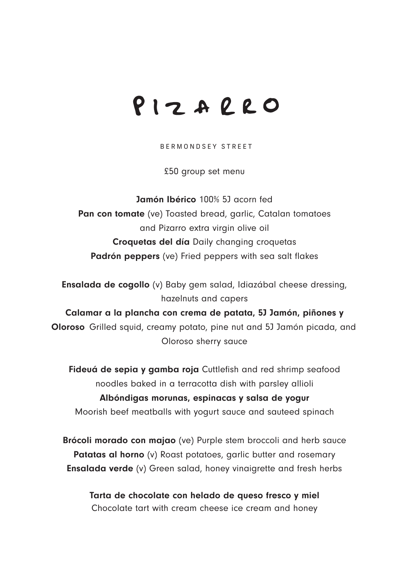## PIZARRO

BERMONDSEY STREET

£50 group set menu

Jamón Ibérico 100% 5J acorn fed Pan con tomate (ve) Toasted bread, garlic, Catalan tomatoes and Pizarro extra virgin olive oil Croquetas del día Daily changing croquetas Padrón peppers (ve) Fried peppers with sea salt flakes

Ensalada de cogollo (v) Baby gem salad, Idiazábal cheese dressing, hazelnuts and capers

Calamar a la plancha con crema de patata, 5J Jamón, piñones y Oloroso Grilled squid, creamy potato, pine nut and 5J Jamón picada, and Oloroso sherry sauce

Fideuá de sepia y gamba roja Cuttlefish and red shrimp seafood noodles baked in a terracotta dish with parsley allioli Albóndigas morunas, espinacas y salsa de yogur Moorish beef meatballs with yogurt sauce and sauteed spinach

Brócoli morado con majao (ve) Purple stem broccoli and herb sauce Patatas al horno (v) Roast potatoes, garlic butter and rosemary Ensalada verde (v) Green salad, honey vinaigrette and fresh herbs

Tarta de chocolate con helado de queso fresco y miel Chocolate tart with cream cheese ice cream and honey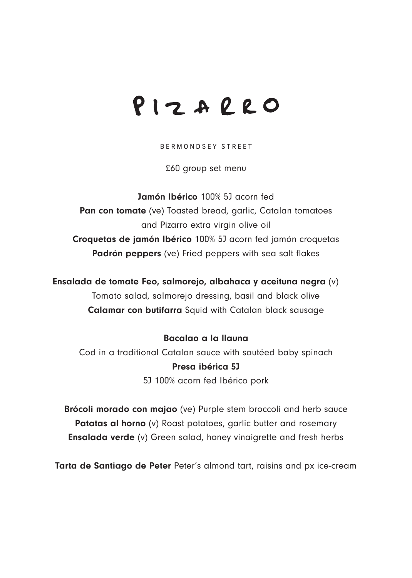## PIZARRO

BERMONDSEY STREET

£60 group set menu

Jamón Ibérico 100% 5J acorn fed Pan con tomate (ve) Toasted bread, garlic, Catalan tomatoes and Pizarro extra virgin olive oil Croquetas de jamón Ibérico 100% 5J acorn fed jamón croquetas Padrón peppers (ve) Fried peppers with sea salt flakes

Ensalada de tomate Feo, salmorejo, albahaca y aceituna negra (v) Tomato salad, salmorejo dressing, basil and black olive Calamar con butifarra Squid with Catalan black sausage

## Bacalao a la llauna

Cod in a traditional Catalan sauce with sautéed baby spinach Presa ibérica 5J 5J 100% acorn fed Ibérico pork

Brócoli morado con majao (ve) Purple stem broccoli and herb sauce Patatas al horno (v) Roast potatoes, garlic butter and rosemary Ensalada verde (v) Green salad, honey vinaigrette and fresh herbs

Tarta de Santiago de Peter Peter's almond tart, raisins and px ice-cream